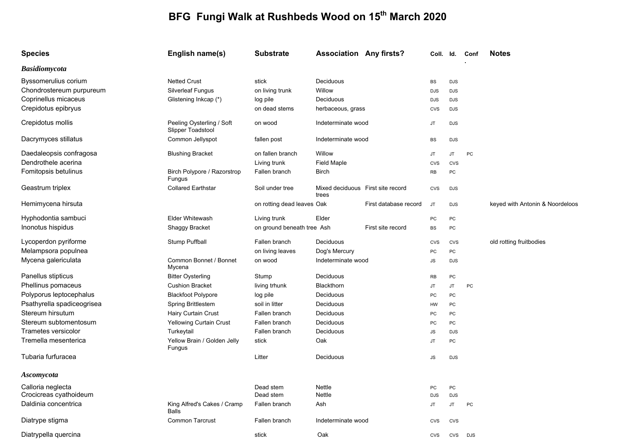## **BFG Fungi Walk at Rushbeds Wood on 15th March 2020**

| <b>Species</b>             | English name(s)                                | <b>Substrate</b>           | <b>Association Any firsts?</b>             |                       | Coll. Id.  |            | Conf | <b>Notes</b>                    |
|----------------------------|------------------------------------------------|----------------------------|--------------------------------------------|-----------------------|------------|------------|------|---------------------------------|
| <b>Basidiomycota</b>       |                                                |                            |                                            |                       |            |            |      |                                 |
| Byssomerulius corium       | <b>Netted Crust</b>                            | stick                      | Deciduous                                  |                       | <b>BS</b>  | <b>DJS</b> |      |                                 |
| Chondrostereum purpureum   | <b>Silverleaf Fungus</b>                       | on living trunk            | Willow                                     |                       | <b>DJS</b> | <b>DJS</b> |      |                                 |
| Coprinellus micaceus       | Glistening Inkcap (*)                          | log pile                   | Deciduous                                  |                       | <b>DJS</b> | <b>DJS</b> |      |                                 |
| Crepidotus epibryus        |                                                | on dead stems              | herbaceous, grass                          |                       | <b>CVS</b> | <b>DJS</b> |      |                                 |
| Crepidotus mollis          | Peeling Oysterling / Soft<br>Slipper Toadstool | on wood                    | Indeterminate wood                         |                       | JT         | <b>DJS</b> |      |                                 |
| Dacrymyces stillatus       | Common Jellyspot                               | fallen post                | Indeterminate wood                         |                       | BS         | <b>DJS</b> |      |                                 |
| Daedaleopsis confragosa    | <b>Blushing Bracket</b>                        | on fallen branch           | Willow                                     |                       | <b>JT</b>  | JT.        | PC   |                                 |
| Dendrothele acerina        |                                                | Living trunk               | Field Maple                                |                       | <b>CVS</b> | CVS        |      |                                 |
| Fomitopsis betulinus       | Birch Polypore / Razorstrop<br>Fungus          | Fallen branch              | <b>Birch</b>                               |                       | RB         | PC         |      |                                 |
| Geastrum triplex           | <b>Collared Earthstar</b>                      | Soil under tree            | Mixed deciduous First site record<br>trees |                       | CVS        | <b>DJS</b> |      |                                 |
| Hemimycena hirsuta         |                                                | on rotting dead leaves Oak |                                            | First database record | <b>JT</b>  | <b>DJS</b> |      | keyed with Antonin & Noordeloos |
| Hyphodontia sambuci        | <b>Elder Whitewash</b>                         | Living trunk               | Elder                                      |                       | PC         | PC         |      |                                 |
| Inonotus hispidus          | <b>Shaggy Bracket</b>                          | on ground beneath tree Ash |                                            | First site record     | BS         | PC         |      |                                 |
| Lycoperdon pyriforme       | Stump Puffball                                 | Fallen branch              | Deciduous                                  |                       | CVS        | CVS        |      | old rotting fruitbodies         |
| Melampsora populnea        |                                                | on living leaves           | Dog's Mercury                              |                       | PC         | PC         |      |                                 |
| Mycena galericulata        | Common Bonnet / Bonnet<br>Mycena               | on wood                    | Indeterminate wood                         |                       | ${\sf JS}$ | DJS        |      |                                 |
| Panellus stipticus         | <b>Bitter Oysterling</b>                       | Stump                      | Deciduous                                  |                       | <b>RB</b>  | PC         |      |                                 |
| Phellinus pomaceus         | <b>Cushion Bracket</b>                         | living trhunk              | Blackthorn                                 |                       | <b>JT</b>  | JT.        | PC   |                                 |
| Polyporus leptocephalus    | <b>Blackfoot Polypore</b>                      | log pile                   | Deciduous                                  |                       | PC         | PC         |      |                                 |
| Psathyrella spadiceogrisea | <b>Spring Brittlestem</b>                      | soil in litter             | Deciduous                                  |                       | HW         | PC         |      |                                 |
| Stereum hirsutum           | Hairy Curtain Crust                            | Fallen branch              | Deciduous                                  |                       | PC         | PC         |      |                                 |
| Stereum subtomentosum      | Yellowing Curtain Crust                        | Fallen branch              | Deciduous                                  |                       | PC         | PC         |      |                                 |
| Trametes versicolor        | Turkeytail                                     | Fallen branch              | Deciduous                                  |                       | ${\sf JS}$ | <b>DJS</b> |      |                                 |
| Tremella mesenterica       | Yellow Brain / Golden Jelly<br>Fungus          | stick                      | Oak                                        |                       | <b>JT</b>  | PC         |      |                                 |
| Tubaria furfuracea         |                                                | Litter                     | Deciduous                                  |                       | <b>JS</b>  | DJS        |      |                                 |
| <b>Ascomycota</b>          |                                                |                            |                                            |                       |            |            |      |                                 |
| Calloria neglecta          |                                                | Dead stem                  | Nettle                                     |                       | PC         | PC         |      |                                 |
| Crocicreas cyathoideum     |                                                | Dead stem                  | Nettle                                     |                       | <b>DJS</b> | <b>DJS</b> |      |                                 |
| Daldinia concentrica       | King Alfred's Cakes / Cramp<br>Balls           | Fallen branch              | Ash                                        |                       | JT         | JT         | PC   |                                 |
| Diatrype stigma            | <b>Common Tarcrust</b>                         | Fallen branch              | Indeterminate wood                         |                       | <b>CVS</b> | CVS        |      |                                 |
| Diatrypella quercina       |                                                | stick                      | Oak                                        |                       | CVS        | CVS        | DJS  |                                 |